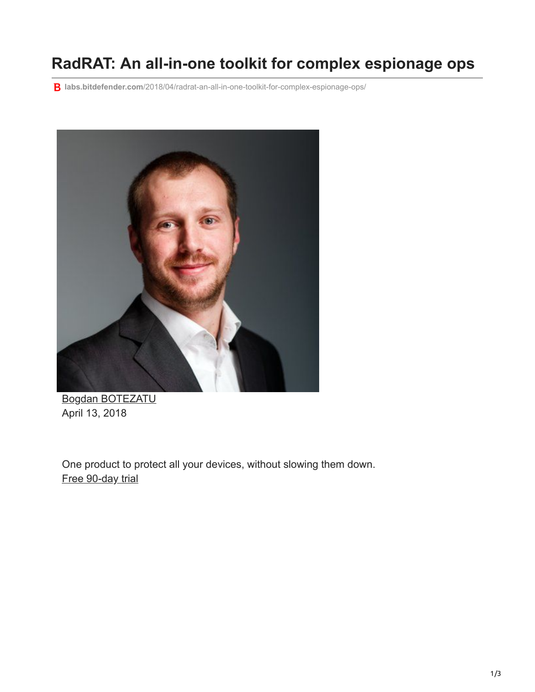## **RadRAT: An all-in-one toolkit for complex espionage ops**

**labs.bitdefender.com**[/2018/04/radrat-an-all-in-one-toolkit-for-complex-espionage-ops/](https://labs.bitdefender.com/2018/04/radrat-an-all-in-one-toolkit-for-complex-espionage-ops/)



[Bogdan BOTEZATU](http://10.10.0.46/blog/labs/author/bbotezatu/) April 13, 2018

One product to protect all your devices, without slowing them down. [Free 90-day trial](http://10.10.0.46/media/html/consumer/new/get-your-90-day-trial-opt/index.html)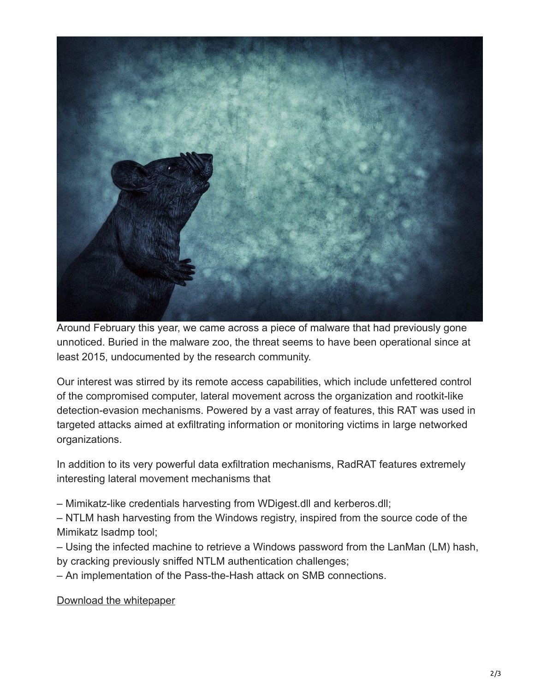

Around February this year, we came across a piece of malware that had previously gone unnoticed. Buried in the malware zoo, the threat seems to have been operational since at least 2015, undocumented by the research community.

Our interest was stirred by its remote access capabilities, which include unfettered control of the compromised computer, lateral movement across the organization and rootkit-like detection-evasion mechanisms. Powered by a vast array of features, this RAT was used in targeted attacks aimed at exfiltrating information or monitoring victims in large networked organizations.

In addition to its very powerful data exfiltration mechanisms, RadRAT features extremely interesting lateral movement mechanisms that

– Mimikatz-like credentials harvesting from WDigest.dll and kerberos.dll;

– NTLM hash harvesting from the Windows registry, inspired from the source code of the Mimikatz lsadmp tool;

– Using the infected machine to retrieve a Windows password from the LanMan (LM) hash, by cracking previously sniffed NTLM authentication challenges;

– An implementation of the Pass-the-Hash attack on SMB connections.

[Download the whitepaper](https://www.bitdefender.com/files/News/CaseStudies/study/200/Bitdefender-Whitepaper-RADrat-crea2645-A4-en-EN-interactive.pdf)